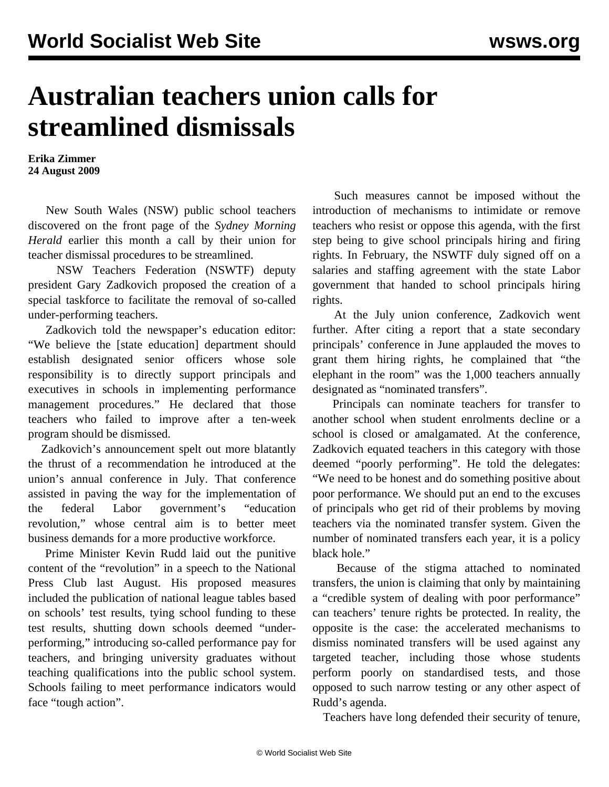## **Australian teachers union calls for streamlined dismissals**

**Erika Zimmer 24 August 2009**

 New South Wales (NSW) public school teachers discovered on the front page of the *Sydney Morning Herald* earlier this month a call by their union for teacher dismissal procedures to be streamlined.

 NSW Teachers Federation (NSWTF) deputy president Gary Zadkovich proposed the creation of a special taskforce to facilitate the removal of so-called under-performing teachers.

 Zadkovich told the newspaper's education editor: "We believe the [state education] department should establish designated senior officers whose sole responsibility is to directly support principals and executives in schools in implementing performance management procedures." He declared that those teachers who failed to improve after a ten-week program should be dismissed.

 Zadkovich's announcement spelt out more blatantly the thrust of a recommendation he introduced at the union's annual conference in July. That conference assisted in paving the way for the implementation of the federal Labor government's "education revolution," whose central aim is to better meet business demands for a more productive workforce.

 Prime Minister Kevin Rudd laid out the punitive content of the "revolution" in a speech to the National Press Club last August. His proposed measures included the publication of national league tables based on schools' test results, tying school funding to these test results, shutting down schools deemed "underperforming," introducing so-called performance pay for teachers, and bringing university graduates without teaching qualifications into the public school system. Schools failing to meet performance indicators would face "tough action".

 Such measures cannot be imposed without the introduction of mechanisms to intimidate or remove teachers who resist or oppose this agenda, with the first step being to give school principals hiring and firing rights. In February, the NSWTF duly signed off on a salaries and staffing agreement with the state Labor government that handed to school principals hiring rights.

 At the July union conference, Zadkovich went further. After citing a report that a state secondary principals' conference in June applauded the moves to grant them hiring rights, he complained that "the elephant in the room" was the 1,000 teachers annually designated as "nominated transfers".

 Principals can nominate teachers for transfer to another school when student enrolments decline or a school is closed or amalgamated. At the conference, Zadkovich equated teachers in this category with those deemed "poorly performing". He told the delegates: "We need to be honest and do something positive about poor performance. We should put an end to the excuses of principals who get rid of their problems by moving teachers via the nominated transfer system. Given the number of nominated transfers each year, it is a policy black hole."

 Because of the stigma attached to nominated transfers, the union is claiming that only by maintaining a "credible system of dealing with poor performance" can teachers' tenure rights be protected. In reality, the opposite is the case: the accelerated mechanisms to dismiss nominated transfers will be used against any targeted teacher, including those whose students perform poorly on standardised tests, and those opposed to such narrow testing or any other aspect of Rudd's agenda.

Teachers have long defended their security of tenure,